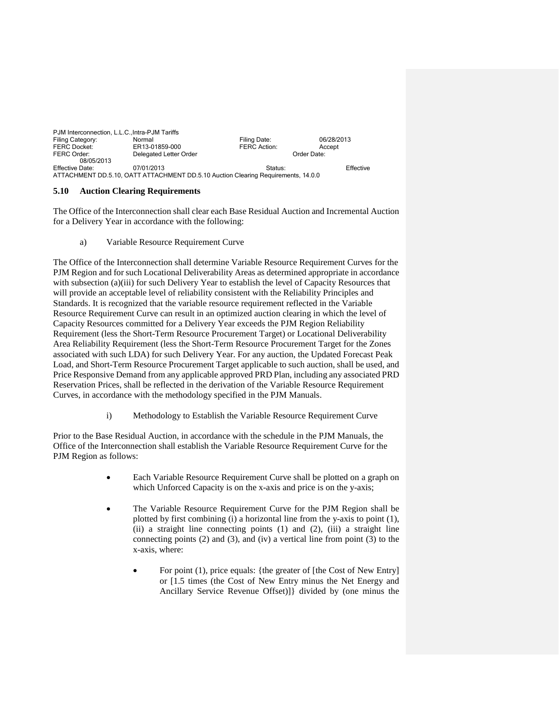| PJM Interconnection, L.L.C., Intra-PJM Tariffs |                                                                                   |              |             |  |
|------------------------------------------------|-----------------------------------------------------------------------------------|--------------|-------------|--|
| Filing Category:                               | Normal                                                                            | Filing Date: | 06/28/2013  |  |
| <b>FERC Docket:</b>                            | ER13-01859-000                                                                    | FERC Action: | Accept      |  |
| FERC Order:                                    | Delegated Letter Order                                                            |              | Order Date: |  |
| 08/05/2013                                     |                                                                                   |              |             |  |
| Effective Date:                                | 07/01/2013                                                                        | Status:      | Effective   |  |
|                                                | ATTACHMENT DD.5.10, OATT ATTACHMENT DD.5.10 Auction Clearing Requirements, 14.0.0 |              |             |  |

## **5.10 Auction Clearing Requirements**

The Office of the Interconnection shall clear each Base Residual Auction and Incremental Auction for a Delivery Year in accordance with the following:

a) Variable Resource Requirement Curve

The Office of the Interconnection shall determine Variable Resource Requirement Curves for the PJM Region and for such Locational Deliverability Areas as determined appropriate in accordance with subsection (a)(iii) for such Delivery Year to establish the level of Capacity Resources that will provide an acceptable level of reliability consistent with the Reliability Principles and Standards. It is recognized that the variable resource requirement reflected in the Variable Resource Requirement Curve can result in an optimized auction clearing in which the level of Capacity Resources committed for a Delivery Year exceeds the PJM Region Reliability Requirement (less the Short-Term Resource Procurement Target) or Locational Deliverability Area Reliability Requirement (less the Short-Term Resource Procurement Target for the Zones associated with such LDA) for such Delivery Year. For any auction, the Updated Forecast Peak Load, and Short-Term Resource Procurement Target applicable to such auction, shall be used, and Price Responsive Demand from any applicable approved PRD Plan, including any associated PRD Reservation Prices, shall be reflected in the derivation of the Variable Resource Requirement Curves, in accordance with the methodology specified in the PJM Manuals.

i) Methodology to Establish the Variable Resource Requirement Curve

Prior to the Base Residual Auction, in accordance with the schedule in the PJM Manuals, the Office of the Interconnection shall establish the Variable Resource Requirement Curve for the PJM Region as follows:

- Each Variable Resource Requirement Curve shall be plotted on a graph on which Unforced Capacity is on the x-axis and price is on the y-axis;
- The Variable Resource Requirement Curve for the PJM Region shall be plotted by first combining (i) a horizontal line from the y-axis to point (1), (ii) a straight line connecting points (1) and (2), (iii) a straight line connecting points (2) and (3), and (iv) a vertical line from point (3) to the x-axis, where:
	- For point (1), price equals: {the greater of [the Cost of New Entry] or [1.5 times (the Cost of New Entry minus the Net Energy and Ancillary Service Revenue Offset)]} divided by (one minus the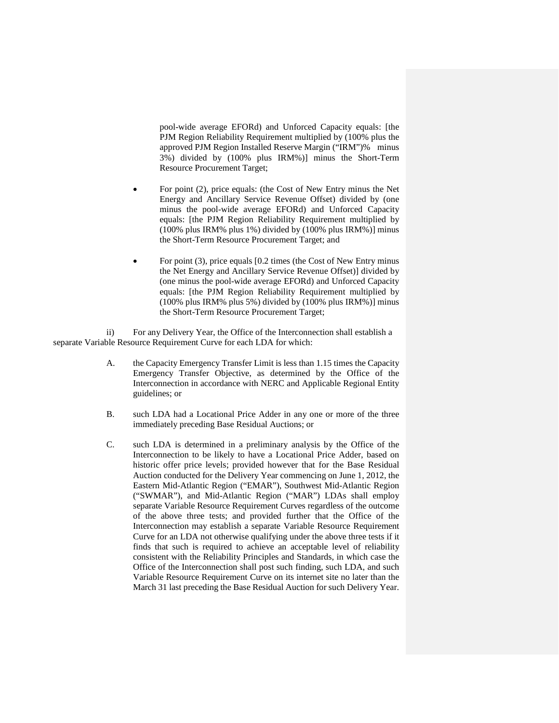pool-wide average EFORd) and Unforced Capacity equals: [the PJM Region Reliability Requirement multiplied by (100% plus the approved PJM Region Installed Reserve Margin ("IRM")% minus 3%) divided by (100% plus IRM%)] minus the Short-Term Resource Procurement Target;

- For point (2), price equals: (the Cost of New Entry minus the Net Energy and Ancillary Service Revenue Offset) divided by (one minus the pool-wide average EFORd) and Unforced Capacity equals: [the PJM Region Reliability Requirement multiplied by (100% plus IRM% plus 1%) divided by (100% plus IRM%)] minus the Short-Term Resource Procurement Target; and
- For point (3), price equals [0.2 times (the Cost of New Entry minus the Net Energy and Ancillary Service Revenue Offset)] divided by (one minus the pool-wide average EFORd) and Unforced Capacity equals: [the PJM Region Reliability Requirement multiplied by (100% plus IRM% plus 5%) divided by (100% plus IRM%)] minus the Short-Term Resource Procurement Target;

ii) For any Delivery Year, the Office of the Interconnection shall establish a separate Variable Resource Requirement Curve for each LDA for which:

- A. the Capacity Emergency Transfer Limit is less than 1.15 times the Capacity Emergency Transfer Objective, as determined by the Office of the Interconnection in accordance with NERC and Applicable Regional Entity guidelines; or
- B. such LDA had a Locational Price Adder in any one or more of the three immediately preceding Base Residual Auctions; or
- C. such LDA is determined in a preliminary analysis by the Office of the Interconnection to be likely to have a Locational Price Adder, based on historic offer price levels; provided however that for the Base Residual Auction conducted for the Delivery Year commencing on June 1, 2012, the Eastern Mid-Atlantic Region ("EMAR"), Southwest Mid-Atlantic Region ("SWMAR"), and Mid-Atlantic Region ("MAR") LDAs shall employ separate Variable Resource Requirement Curves regardless of the outcome of the above three tests; and provided further that the Office of the Interconnection may establish a separate Variable Resource Requirement Curve for an LDA not otherwise qualifying under the above three tests if it finds that such is required to achieve an acceptable level of reliability consistent with the Reliability Principles and Standards, in which case the Office of the Interconnection shall post such finding, such LDA, and such Variable Resource Requirement Curve on its internet site no later than the March 31 last preceding the Base Residual Auction for such Delivery Year.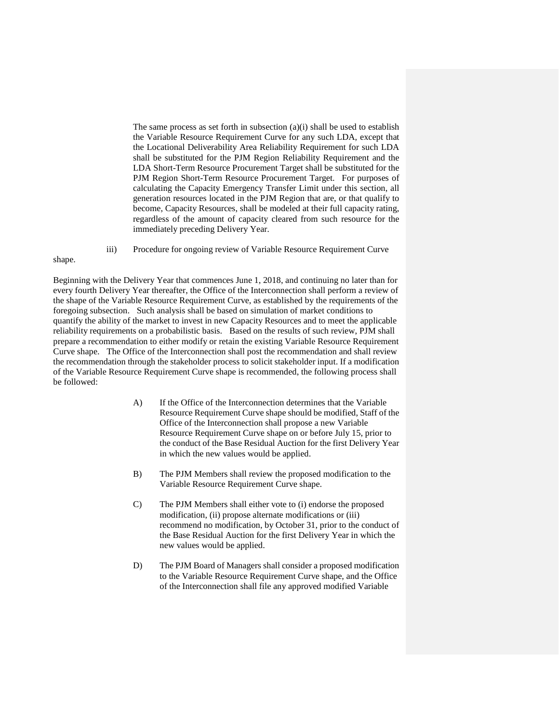The same process as set forth in subsection (a)(i) shall be used to establish the Variable Resource Requirement Curve for any such LDA, except that the Locational Deliverability Area Reliability Requirement for such LDA shall be substituted for the PJM Region Reliability Requirement and the LDA Short-Term Resource Procurement Target shall be substituted for the PJM Region Short-Term Resource Procurement Target. For purposes of calculating the Capacity Emergency Transfer Limit under this section, all generation resources located in the PJM Region that are, or that qualify to become, Capacity Resources, shall be modeled at their full capacity rating, regardless of the amount of capacity cleared from such resource for the immediately preceding Delivery Year.

iii) Procedure for ongoing review of Variable Resource Requirement Curve

## shape.

Beginning with the Delivery Year that commences June 1, 2018, and continuing no later than for every fourth Delivery Year thereafter, the Office of the Interconnection shall perform a review of the shape of the Variable Resource Requirement Curve, as established by the requirements of the foregoing subsection. Such analysis shall be based on simulation of market conditions to quantify the ability of the market to invest in new Capacity Resources and to meet the applicable reliability requirements on a probabilistic basis. Based on the results of such review, PJM shall prepare a recommendation to either modify or retain the existing Variable Resource Requirement Curve shape. The Office of the Interconnection shall post the recommendation and shall review the recommendation through the stakeholder process to solicit stakeholder input. If a modification of the Variable Resource Requirement Curve shape is recommended, the following process shall be followed:

- A) If the Office of the Interconnection determines that the Variable Resource Requirement Curve shape should be modified, Staff of the Office of the Interconnection shall propose a new Variable Resource Requirement Curve shape on or before July 15, prior to the conduct of the Base Residual Auction for the first Delivery Year in which the new values would be applied.
- B) The PJM Members shall review the proposed modification to the Variable Resource Requirement Curve shape.
- C) The PJM Members shall either vote to (i) endorse the proposed modification, (ii) propose alternate modifications or (iii) recommend no modification, by October 31, prior to the conduct of the Base Residual Auction for the first Delivery Year in which the new values would be applied.
- D) The PJM Board of Managers shall consider a proposed modification to the Variable Resource Requirement Curve shape, and the Office of the Interconnection shall file any approved modified Variable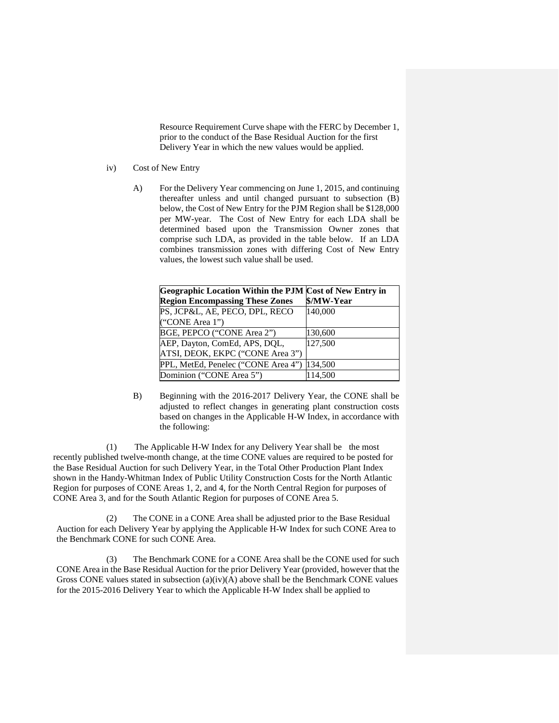Resource Requirement Curve shape with the FERC by December 1, prior to the conduct of the Base Residual Auction for the first Delivery Year in which the new values would be applied.

- iv) Cost of New Entry
	- A) For the Delivery Year commencing on June 1, 2015, and continuing thereafter unless and until changed pursuant to subsection (B) below, the Cost of New Entry for the PJM Region shall be \$128,000 per MW-year. The Cost of New Entry for each LDA shall be determined based upon the Transmission Owner zones that comprise such LDA, as provided in the table below. If an LDA combines transmission zones with differing Cost of New Entry values, the lowest such value shall be used.

| Geographic Location Within the PJM Cost of New Entry in<br><b>Region Encompassing These Zones</b> | \$/MW-Year |
|---------------------------------------------------------------------------------------------------|------------|
| PS, JCP&L, AE, PECO, DPL, RECO<br>("CONE Area 1")                                                 | 140,000    |
| BGE, PEPCO ("CONE Area 2")                                                                        | 130,600    |
| AEP, Dayton, ComEd, APS, DQL,<br>ATSI, DEOK, EKPC ("CONE Area 3")                                 | 127,500    |
| PPL, MetEd, Penelec ("CONE Area 4")                                                               | 134,500    |
| Dominion ("CONE Area 5")                                                                          | 114,500    |

B) Beginning with the 2016-2017 Delivery Year, the CONE shall be adjusted to reflect changes in generating plant construction costs based on changes in the Applicable H-W Index, in accordance with the following:

 (1) The Applicable H-W Index for any Delivery Year shall be the most recently published twelve-month change, at the time CONE values are required to be posted for the Base Residual Auction for such Delivery Year, in the Total Other Production Plant Index shown in the Handy-Whitman Index of Public Utility Construction Costs for the North Atlantic Region for purposes of CONE Areas 1, 2, and 4, for the North Central Region for purposes of CONE Area 3, and for the South Atlantic Region for purposes of CONE Area 5.

 (2) The CONE in a CONE Area shall be adjusted prior to the Base Residual Auction for each Delivery Year by applying the Applicable H-W Index for such CONE Area to the Benchmark CONE for such CONE Area.

 (3) The Benchmark CONE for a CONE Area shall be the CONE used for such CONE Area in the Base Residual Auction for the prior Delivery Year (provided, however that the Gross CONE values stated in subsection  $(a)(iv)(A)$  above shall be the Benchmark CONE values for the 2015-2016 Delivery Year to which the Applicable H-W Index shall be applied to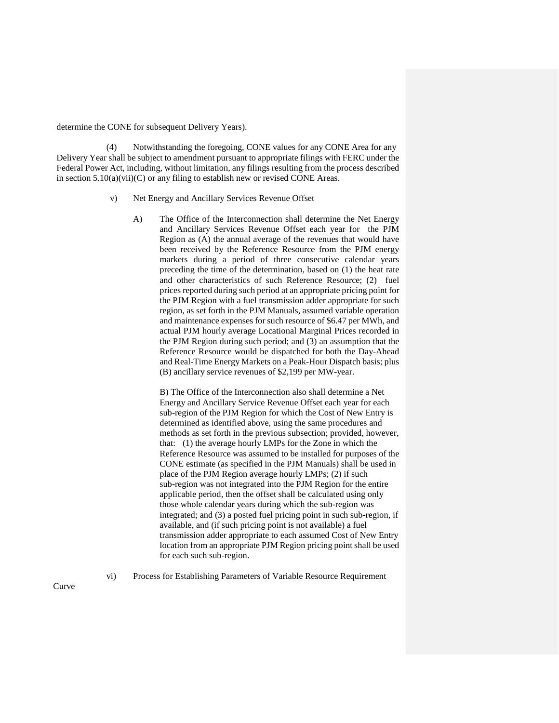determine the CONE for subsequent Delivery Years).

 (4) Notwithstanding the foregoing, CONE values for any CONE Area for any Delivery Year shall be subject to amendment pursuant to appropriate filings with FERC under the Federal Power Act, including, without limitation, any filings resulting from the process described in section  $5.10(a)(vi)(C)$  or any filing to establish new or revised CONE Areas.

- v) Net Energy and Ancillary Services Revenue Offset
	- A) The Office of the Interconnection shall determine the Net Energy and Ancillary Services Revenue Offset each year for the PJM Region as (A) the annual average of the revenues that would have been received by the Reference Resource from the PJM energy markets during a period of three consecutive calendar years preceding the time of the determination, based on (1) the heat rate and other characteristics of such Reference Resource; (2) fuel prices reported during such period at an appropriate pricing point for the PJM Region with a fuel transmission adder appropriate for such region, as set forth in the PJM Manuals, assumed variable operation and maintenance expenses for such resource of \$6.47 per MWh, and actual PJM hourly average Locational Marginal Prices recorded in the PJM Region during such period; and (3) an assumption that the Reference Resource would be dispatched for both the Day-Ahead and Real-Time Energy Markets on a Peak-Hour Dispatch basis; plus (B) ancillary service revenues of \$2,199 per MW-year.

B) The Office of the Interconnection also shall determine a Net Energy and Ancillary Service Revenue Offset each year for each sub-region of the PJM Region for which the Cost of New Entry is determined as identified above, using the same procedures and methods as set forth in the previous subsection; provided, however, that: (1) the average hourly LMPs for the Zone in which the Reference Resource was assumed to be installed for purposes of the CONE estimate (as specified in the PJM Manuals) shall be used in place of the PJM Region average hourly LMPs; (2) if such sub-region was not integrated into the PJM Region for the entire applicable period, then the offset shall be calculated using only those whole calendar years during which the sub-region was integrated; and (3) a posted fuel pricing point in such sub-region, if available, and (if such pricing point is not available) a fuel transmission adder appropriate to each assumed Cost of New Entry location from an appropriate PJM Region pricing point shall be used for each such sub-region.

Curve

vi) Process for Establishing Parameters of Variable Resource Requirement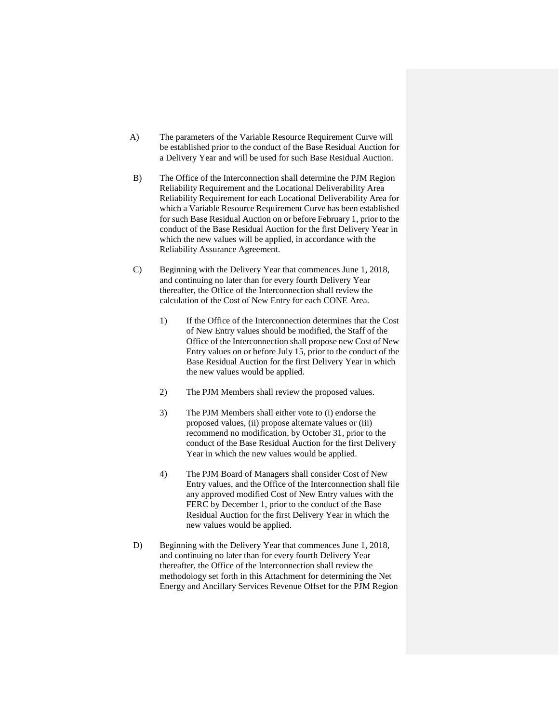- A) The parameters of the Variable Resource Requirement Curve will be established prior to the conduct of the Base Residual Auction for a Delivery Year and will be used for such Base Residual Auction.
- B) The Office of the Interconnection shall determine the PJM Region Reliability Requirement and the Locational Deliverability Area Reliability Requirement for each Locational Deliverability Area for which a Variable Resource Requirement Curve has been established for such Base Residual Auction on or before February 1, prior to the conduct of the Base Residual Auction for the first Delivery Year in which the new values will be applied, in accordance with the Reliability Assurance Agreement.
- C) Beginning with the Delivery Year that commences June 1, 2018, and continuing no later than for every fourth Delivery Year thereafter, the Office of the Interconnection shall review the calculation of the Cost of New Entry for each CONE Area.
	- 1) If the Office of the Interconnection determines that the Cost of New Entry values should be modified, the Staff of the Office of the Interconnection shall propose new Cost of New Entry values on or before July 15, prior to the conduct of the Base Residual Auction for the first Delivery Year in which the new values would be applied.
	- 2) The PJM Members shall review the proposed values.
	- 3) The PJM Members shall either vote to (i) endorse the proposed values, (ii) propose alternate values or (iii) recommend no modification, by October 31, prior to the conduct of the Base Residual Auction for the first Delivery Year in which the new values would be applied.
	- 4) The PJM Board of Managers shall consider Cost of New Entry values, and the Office of the Interconnection shall file any approved modified Cost of New Entry values with the FERC by December 1, prior to the conduct of the Base Residual Auction for the first Delivery Year in which the new values would be applied.
- D) Beginning with the Delivery Year that commences June 1, 2018, and continuing no later than for every fourth Delivery Year thereafter, the Office of the Interconnection shall review the methodology set forth in this Attachment for determining the Net Energy and Ancillary Services Revenue Offset for the PJM Region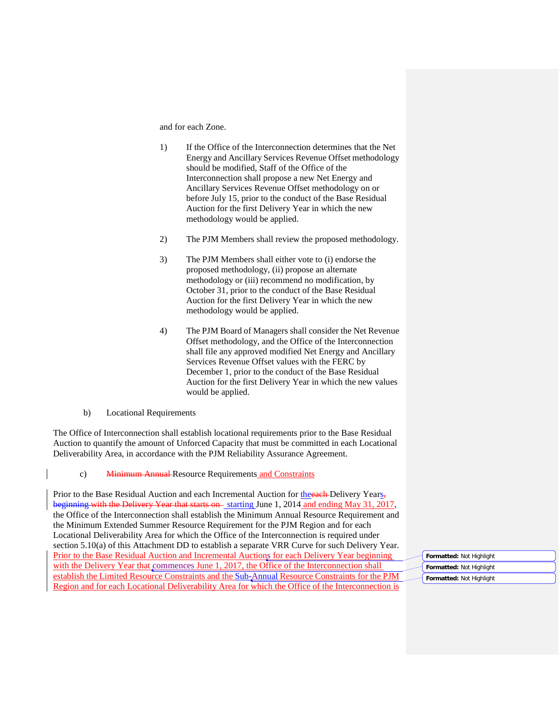and for each Zone.

- 1) If the Office of the Interconnection determines that the Net Energy and Ancillary Services Revenue Offset methodology should be modified, Staff of the Office of the Interconnection shall propose a new Net Energy and Ancillary Services Revenue Offset methodology on or before July 15, prior to the conduct of the Base Residual Auction for the first Delivery Year in which the new methodology would be applied.
- 2) The PJM Members shall review the proposed methodology.
- 3) The PJM Members shall either vote to (i) endorse the proposed methodology, (ii) propose an alternate methodology or (iii) recommend no modification, by October 31, prior to the conduct of the Base Residual Auction for the first Delivery Year in which the new methodology would be applied.
- 4) The PJM Board of Managers shall consider the Net Revenue Offset methodology, and the Office of the Interconnection shall file any approved modified Net Energy and Ancillary Services Revenue Offset values with the FERC by December 1, prior to the conduct of the Base Residual Auction for the first Delivery Year in which the new values would be applied.
- b) Locational Requirements

The Office of Interconnection shall establish locational requirements prior to the Base Residual Auction to quantify the amount of Unforced Capacity that must be committed in each Locational Deliverability Area, in accordance with the PJM Reliability Assurance Agreement.

c) Minimum Annual Resource Requirements and Constraints

Prior to the Base Residual Auction and each Incremental Auction for the each-Delivery Years, beginning with the Delivery Year that starts on-starting June 1, 2014 and ending May 31, 2017, the Office of the Interconnection shall establish the Minimum Annual Resource Requirement and the Minimum Extended Summer Resource Requirement for the PJM Region and for each Locational Deliverability Area for which the Office of the Interconnection is required under section 5.10(a) of this Attachment DD to establish a separate VRR Curve for such Delivery Year. Prior to the Base Residual Auction and Incremental Auctions for each Delivery Year beginning with the Delivery Year that commences June 1, 2017, the Office of the Interconnection shall establish the Limited Resource Constraints and the Sub-Annual Resource Constraints for the PJM Region and for each Locational Deliverability Area for which the Office of the Interconnection is

**Formatted:** Not Highlight **Formatted:** Not Highlight **Formatted:** Not Highlight